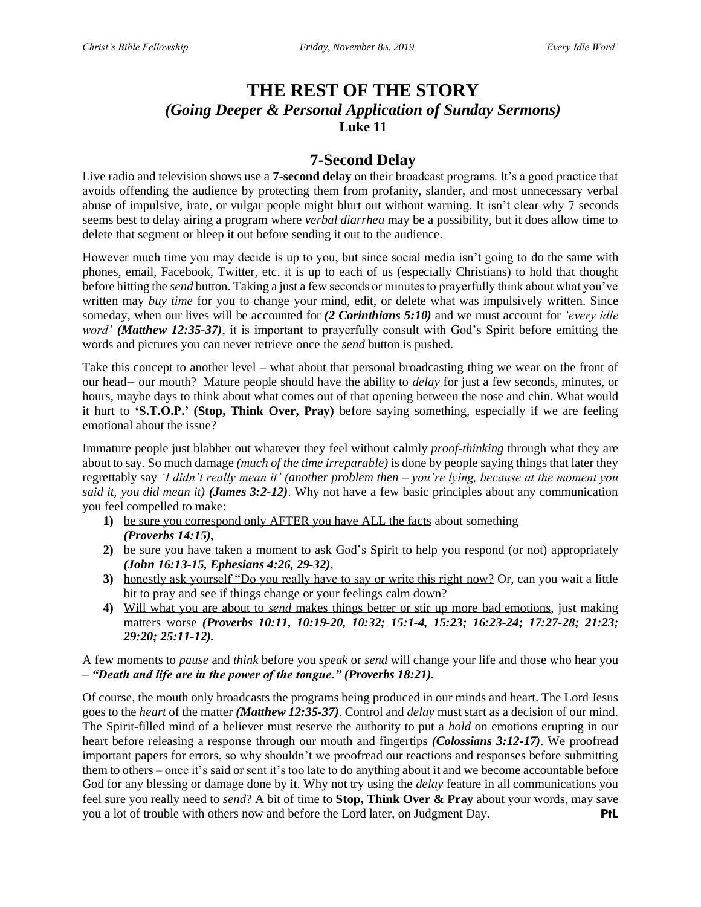# **THE REST OF THE STORY** *(Going Deeper & Personal Application of Sunday Sermons)* **Luke 11**

## **7-Second Delay**

Live radio and television shows use a **7-second delay** on their broadcast programs. It's a good practice that avoids offending the audience by protecting them from profanity, slander, and most unnecessary verbal abuse of impulsive, irate, or vulgar people might blurt out without warning. It isn't clear why 7 seconds seems best to delay airing a program where *verbal diarrhea* may be a possibility, but it does allow time to delete that segment or bleep it out before sending it out to the audience.

However much time you may decide is up to you, but since social media isn't going to do the same with phones, email, Facebook, Twitter, etc. it is up to each of us (especially Christians) to hold that thought before hitting the *send* button. Taking a just a few seconds or minutes to prayerfully think about what you've written may *buy time* for you to change your mind, edit, or delete what was impulsively written. Since someday, when our lives will be accounted for *(2 Corinthians 5:10)* and we must account for *'every idle word' (Matthew 12:35-37)*, it is important to prayerfully consult with God's Spirit before emitting the words and pictures you can never retrieve once the *send* button is pushed.

Take this concept to another level – what about that personal broadcasting thing we wear on the front of our head-- our mouth? Mature people should have the ability to *delay* for just a few seconds, minutes, or hours, maybe days to think about what comes out of that opening between the nose and chin. What would it hurt to **'S.T.O.P.' (Stop, Think Over, Pray)** before saying something, especially if we are feeling emotional about the issue?

Immature people just blabber out whatever they feel without calmly *proof-thinking* through what they are about to say. So much damage *(much of the time irreparable)* is done by people saying things that later they regrettably say *'I didn't really mean it' (another problem then – you're lying, because at the moment you said it, you did mean it) (James 3:2-12)*. Why not have a few basic principles about any communication you feel compelled to make:

- **1)** be sure you correspond only AFTER you have ALL the facts about something *(Proverbs 14:15),*
- **2)** be sure you have taken a moment to ask God's Spirit to help you respond (or not) appropriately *(John 16:13-15, Ephesians 4:26, 29-32)*,
- **3)** honestly ask yourself "Do you really have to say or write this right now? Or, can you wait a little bit to pray and see if things change or your feelings calm down?
- **4)** Will what you are about to *send* makes things better or stir up more bad emotions, just making matters worse *(Proverbs 10:11, 10:19-20, 10:32; 15:1-4, 15:23; 16:23-24; 17:27-28; 21:23; 29:20; 25:11-12).*

A few moments to *pause* and *think* before you *speak* or *send* will change your life and those who hear you – *"Death and life are in the power of the tongue." (Proverbs 18:21).*

Of course, the mouth only broadcasts the programs being produced in our minds and heart. The Lord Jesus goes to the *heart* of the matter *(Matthew 12:35-37)*. Control and *delay* must start as a decision of our mind. The Spirit-filled mind of a believer must reserve the authority to put a *hold* on emotions erupting in our heart before releasing a response through our mouth and fingertips *(Colossians 3:12-17)*. We proofread important papers for errors, so why shouldn't we proofread our reactions and responses before submitting them to others – once it's said or sent it's too late to do anything about it and we become accountable before God for any blessing or damage done by it. Why not try using the *delay* feature in all communications you feel sure you really need to *send*? A bit of time to **Stop, Think Over & Pray** about your words, may save you a lot of trouble with others now and before the Lord later, on Judgment Day. **PtL**